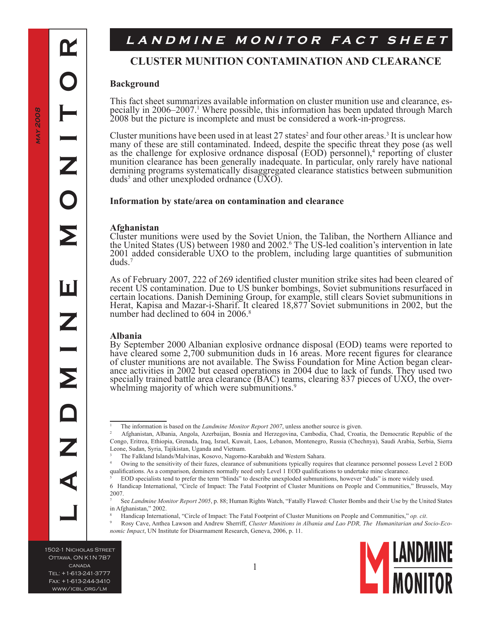Œ

**L A N D M I N E M O N I T O R**

ш

÷

Σ

Z

# LANDMINE MONITOR FACT SHEET

## **CLUSTER MUNITION CONTAMINATION AND CLEARANCE**

### **Background**

This fact sheet summarizes available information on cluster munition use and clearance, especially in 2006–2007.<sup>1</sup> Where possible, this information has been updated through March 2008 but the picture is incomplete and must be considered a work-in-progress.

Cluster munitions have been used in at least 27 states<sup>2</sup> and four other areas.<sup>3</sup> It is unclear how many of these are still contaminated. Indeed, despite the specific threat they pose (as well as the challenge for explosive ordnance disposal (EOD) personnel),<sup>4</sup> reporting of cluster munition clearance has been generally inadequate. In particular, only rarely have national demining programs systematically disaggregated clearance statistics between submunition duds<sup>5</sup> and other unexploded ordnance  $(\overline{UXO})$ .

#### **Information by state/area on contamination and clearance**

#### **Afghanistan**

Cluster munitions were used by the Soviet Union, the Taliban, the Northern Alliance and the United States (US) between 1980 and 2002. The US-led coalition's intervention in late 2001 added considerable UXO to the problem, including large quantities of submunition duds.

As of February 2007, 222 of 269 identified cluster munition strike sites had been cleared of recent US contamination. Due to US bunker bombings, Soviet submunitions resurfaced in certain locations. Danish Demining Group, for example, still clears Soviet submunitions in Herat, Kapisa and Mazar-i-Sharif. It cleared 18,877 Soviet submunitions in 2002, but the number had declined to 604 in 2006.<sup>8</sup>

#### **Albania**

By September 2000 Albanian explosive ordnance disposal (EOD) teams were reported to have cleared some 2,700 submunition duds in 16 areas. More recent figures for clearance of cluster munitions are not available. The Swiss Foundation for Mine Action began clearance activities in 2002 but ceased operations in 2004 due to lack of funds. They used two specially trained battle area clearance (BAC) teams, clearing 837 pieces of UXO, the over-<br>whelming majority of which were submuniti

1502-1 Nicholas Street Ottawa, ON K1N 7B7 canada Tel: +1-613-241-3777 Fax: +1-613-244-3410 www/icbl.org/lm

The information is based on the *Landmine Monitor Report 2007*, unless another source is given.

Afghanistan, Albania, Angola, Azerbaijan, Bosnia and Herzegovina, Cambodia, Chad, Croatia, the Democratic Republic of the Congo, Eritrea, Ethiopia, Grenada, Iraq, Israel, Kuwait, Laos, Lebanon, Montenegro, Russia (Chechnya), Saudi Arabia, Serbia, Sierra Leone, Sudan, Syria, Tajikistan, Uganda and Vietnam.

The Falkland Islands/Malvinas, Kosovo, Nagorno-Karabakh and Western Sahara.

Owing to the sensitivity of their fuzes, clearance of submunitions typically requires that clearance personnel possess Level 2 EOD qualifications. As a comparison, deminers normally need only Level 1 EOD qualifications to undertake mine clearance.

EOD specialists tend to prefer the term "blinds" to describe unexploded submunitions, however "duds" is more widely used.

Handicap International, "Circle of Impact: The Fatal Footprint of Cluster Munitions on People and Communities," Brussels, May 2007.

See *Landmine Monitor Report 2005*, p. 88; Human Rights Watch, "Fatally Flawed: Cluster Bombs and their Use by the United States in Afghanistan," 2002.

Handicap International, "Circle of Impact: The Fatal Footprint of Cluster Munitions on People and Communities," *op. cit*.

 $\overline{9}$  Rosy Cave, Anthea Lawson and Andrew Sherriff, *Cluster Munitions in Albania and Lao PDR, The Humanitarian and Socio-Economic Impact*, UN Institute for Disarmament Research, Geneva, 2006, p. 11.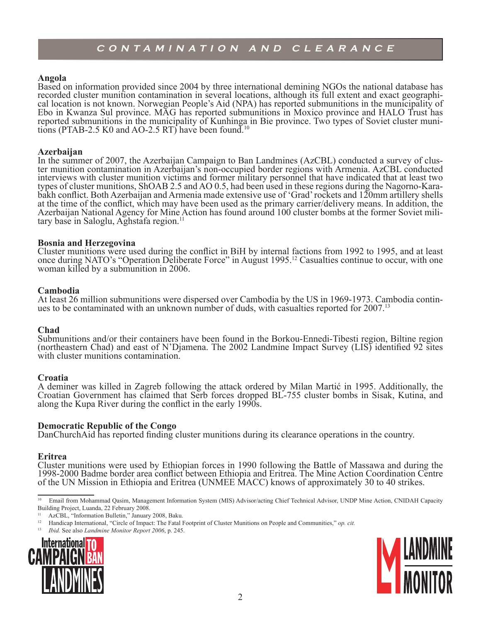#### **Angola**

Based on information provided since 2004 by three international demining NGOs the national database has recorded cluster munition contamination in several locations, although its full extent and exact geographical location is not known. Norwegian People's Aid (NPA) has reported submunitions in the municipality of Ebo in Kwanza Sul province. MAG has reported submunitions in Moxico province and HALO Trust has reported submunitions in the municipality of Kunhinga in Bie province. Two types of Soviet cluster munitions (PTAB-2.5 K0 and AO-2.5 RT) have been found.<sup>10</sup>

**Azerbaijan**<br>In the summer of 2007, the Azerbaijan Campaign to Ban Landmines (AzCBL) conducted a survey of cluster munition contamination in Azerbaijan's non-occupied border regions with Armenia. AzCBL conducted interviews with cluster munition victims and former military personnel that have indicated that at least two types of cluster munitions, ShOAB 2.5 and AO 0.5, had been used in these regions during the Nagorno-Kara- bakh conflict. Both Azerbaijan and Armenia made extensive use of 'Grad' rockets and 120mm artillery shells at the time of the conflict, which may have been used as the primary carrier/delivery means. In addition, the Azerbaijan National Agency for Mine Action has found around 100 cluster bombs at the former Soviet military base in Saloglu, Aghstafa region.<sup>11</sup>

#### **Bosnia and Herzegovina**

Cluster munitions were used during the conflict in BiH by internal factions from 1992 to 1995, and at least once during NATO's "Operation Deliberate Force" in August 1995.<sup>12</sup> Casualties continue to occur, with one woman killed by a submunition in 2006.

**Cambodia**<br>At least 26 million submunitions were dispersed over Cambodia by the US in 1969-1973. Cambodia continues to be contaminated with an unknown number of duds, with casualties reported for 2007.<sup>13</sup>

#### **Chad**

Submunitions and/or their containers have been found in the Borkou-Ennedi-Tibesti region, Biltine region (northeastern Chad) and east of N'Djamena. The 2002 Landmine Impact Survey (LIS) identified 92 sites with cluster munitions contamination.

#### **Croatia**

A deminer was killed in Zagreb following the attack ordered by Milan Martić in 1995. Additionally, the Croatian Government has claimed that Serb forces dropped BL-755 cluster bombs in Sisak, Kutina, and along the Kupa River during the conflict in the early 1990s.

#### **Democratic Republic of the Congo**

DanChurchAid has reported finding cluster munitions during its clearance operations in the country.

#### **Eritrea**

Cluster munitions were used by Ethiopian forces in 1990 following the Battle of Massawa and during the 1998-2000 Badme border area conflict between Ethiopia and Eritrea. The Mine Action Coordination Centre of the UN Mission in Ethiopia and Eritrea (UNMEE MACC) knows of approximately 30 to 40 strikes.

<sup>13</sup> *Ibid.* See also *Landmine Monitor Report 2006*, p. 245.





<sup>&</sup>lt;sup>10</sup> Email from Mohammad Qasim, Management Information System (MIS) Advisor/acting Chief Technical Advisor, UNDP Mine Action, CNIDAH Capacity Building Project, Luanda, 22 February 2008.

<sup>&</sup>lt;sup>11</sup> AzCBL, "Information Bulletin," January 2008, Baku.<br><sup>12</sup> Handican International "Circle of Impact: The Eatal I

<sup>12</sup> Handicap International, "Circle of Impact: The Fatal Footprint of Cluster Munitions on People and Communities," *op. cit.*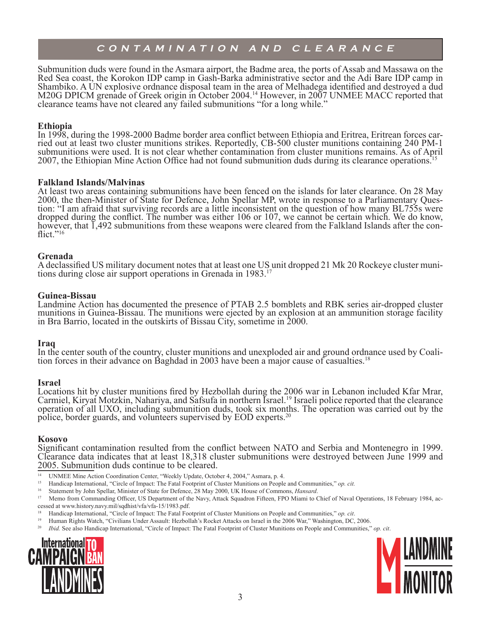Submunition duds were found in the Asmara airport, the Badme area, the ports of Assab and Massawa on the Red Sea coast, the Korokon IDP camp in Gash-Barka administrative sector and the Adi Bare IDP camp in Shambiko. A UN explosive ordnance disposal team in the area of Melhadega identified and destroyed a dud M20G DPICM grenade of Greek origin in October 2004.<sup>14</sup> However, in 2007 UNMEE MACC reported that clearance teams have not cleared any failed submunitions "for a long while."

### **Ethiopia**

In 1998, during the 1998-2000 Badme border area conflict between Ethiopia and Eritrea, Eritrean forces car- ried out at least two cluster munitions strikes. Reportedly, CB-500 cluster munitions containing 240 PM-1 submunitions were used. It is not clear whether contamination from cluster munitions remains. As of April 2007, the Ethiopian Mine Action Office had not found submunition duds during its clearance operations.<sup>15</sup>

#### **Falkland Islands/Malvinas**

At least two areas containing submunitions have been fenced on the islands for later clearance. On 28 May 2000, the then-Minister of State for Defence, John Spellar MP, wrote in response to a Parliamentary Question: "I am afraid that surviving records are a little inconsistent on the question of how many BL755s were dropped during the conflict. The number was either 106 or 107, we cannot be certain which. We do know, however, that 1,492 submunitions from these weapons were cleared from the Falkland Islands after the con-<br>flict."<sup>16</sup>

#### **Grenada**

A declassified US military document notes that at least one US unit dropped 21 Mk 20 Rockeye cluster muni- tions during close air support operations in Grenada in 1983.<sup>17</sup>

#### **Guinea-Bissau**

Landmine Action has documented the presence of PTAB 2.5 bomblets and RBK series air-dropped cluster munitions in Guinea-Bissau. The munitions were ejected by an explosion at an ammunition storage facility in Bra Barrio, located in the outskirts of Bissau City, sometime in 2000.

#### **Iraq**

In the center south of the country, cluster munitions and unexploded air and ground ordnance used by Coalition forces in their advance on Baghdad in 2003 have been a major cause of casualties.<sup>18</sup>

#### **Israel**

Locations hit by cluster munitions fired by Hezbollah during the 2006 war in Lebanon included Kfar Mrar, Carmiel, Kiryat Motzkin, Nahariya, and Safsufa in northern Israel.<sup>19</sup> Israeli police reported that the clearance operation of all UXO, including submunition duds, took six months. The operation was carried out by the police, border guards, and volunteers supervised by EOD experts.20

### **Kosovo**

Significant contamination resulted from the conflict between NATO and Serbia and Montenegro in 1999. Clearance data indicates that at least 18,318 cluster submunitions were destroyed between June 1999 and 2005. Submunition duds continue to be cleared.

- <sup>14</sup> UNMEE Mine Action Coordination Center, "Weekly Update, October 4, 2004," Asmara, p. 4.
- <sup>15</sup> Handicap International, "Circle of Impact: The Fatal Footprint of Cluster Munitions on People and Communities," *op. cit.*<br><sup>16</sup> Statement by John Spellar, Minister of State for Defence, 28 May 2000, LIK House of Commo
- <sup>16</sup> Statement by John Spellar, Minister of State for Defence, 28 May 2000, UK House of Commons, *Hansard*.
- 17 Memo from Commanding Officer, US Department of the Navy, Attack Squadron Fifteen, FPO Miami to Chief of Naval Operations, 18 February 1984, accessed at www.history.navy.mil/sqdhist/vfa/vfa-15/1983.pdf.
- <sup>18</sup> Handicap International, "Circle of Impact: The Fatal Footprint of Cluster Munitions on People and Communities," *op. cit*.
- 19 Human Rights Watch, "Civilians Under Assault: Hezbollah's Rocket Attacks on Israel in the 2006 War," Washington, DC, 2006.
- <sup>20</sup> *Ibid.* See also Handicap International, "Circle of Impact: The Fatal Footprint of Cluster Munitions on People and Communities," *op. cit*.



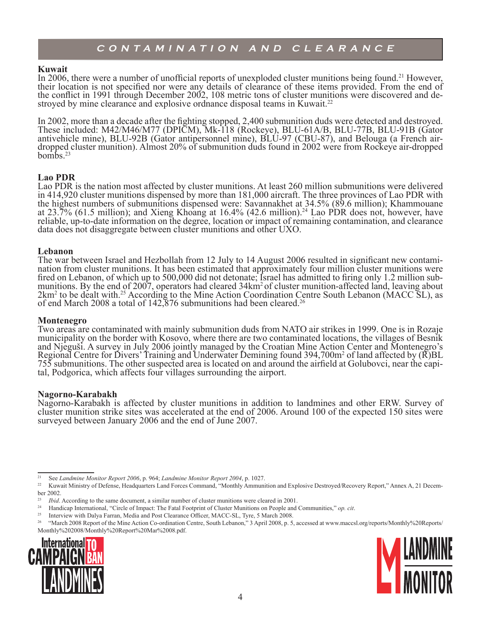#### **Kuwait**

In 2006, there were a number of unofficial reports of unexploded cluster munitions being found.<sup>21</sup> However, their location is not specified nor were any details of clearance of these items provided. From the end of the conflict in 1991 through December 2002, 108 metric tons of cluster munitions were discovered and destroyed by mine clearance and explosive ordnance disposal teams in Kuwait.<sup>22</sup>

In 2002, more than a decade after the fighting stopped, 2,400 submunition duds were detected and destroyed. These included: M42/M46/M77 (DPICM), Mk-118 (Rockeye), BLU-61A/B, BLU-77B, BLU-91B (Gator antivehicle mine), BLU-92B (Gator antipersonnel mine), BLU-97 (CBU-87), and Belouga (a French airdropped cluster munition). Almost 20% of submunition duds found in 2002 were from Rockeye air-dropped bombs. $23$ 

### **Lao PDR**

Lao PDR is the nation most affected by cluster munitions. At least 260 million submunitions were delivered in 414,920 cluster munitions dispensed by more than 181,000 aircraft. The three provinces of Lao PDR with the highest numbers of submunitions dispensed were: Savannakhet at 34.5% (89.6 million); Khammouane at 23.7% (61.5 million); and Xieng Khoang at 16.4% (42.6 million).<sup>24</sup> Lao PDR does not, however, have reliable, up-to-date information on the degree, location or impact of remaining contamination, and clearance data does not disaggregate between cluster munitions and other UXO.

**Lebanon**<br>The war between Israel and Hezbollah from 12 July to 14 August 2006 resulted in significant new contami-The war between Israel and Hezbollah from 12 July to 14 August 2006 resulted in significant new contami- nation from cluster munitions. It has been estimated that approximately four million cluster munitions were fired on Lebanon, of which up to 500,000 did not detonate; Israel has admitted to firing only 1.2 million sub-<br>munitions. By the end of 2007, operators had cleared 34km<sup>2</sup> of cluster munition-affected land, leaving about 2km<sup>2</sup> to be dealt with.<sup>25</sup> According to the Mine Action Coordination Centre South Lebanon (MACC SL), as of end March 2008 a total of 142,876 submunitions had been cleared.<sup>26</sup>

#### **Montenegro**

Two areas are contaminated with mainly submunition duds from NATO air strikes in 1999. One is in Rozaje municipality on the border with Kosovo, where there are two contaminated locations, the villages of Besnik and Njeguši. A survey in July 2006 jointly managed by the Croatian Mine Action Center and Montenegro's Regional Centre for Divers' Training and Underwater Demining found  $394,700m^2$  of land affected by ( $\overline{R}$ )BL 755 submunitions. The other suspected area is located on and around the airfield at Golubovci, near the capi-<br>tal, Podgorica, which affects four villages surrounding the airport.

#### **Nagorno-Karabakh**

Nagorno-Karabakh is affected by cluster munitions in addition to landmines and other ERW. Survey of cluster munition strike sites was accelerated at the end of 2006. Around 100 of the expected 150 sites were surveyed between January 2006 and the end of June 2007.

<sup>25</sup> Interview with Dalya Farran, Media and Post Clearance Officer, MACC-SL, Tyre, 5 March 2008.<br><sup>26</sup> "March 2008 Bapart of the Mine Action Co-ordination Centre, South Lebanon," 2 April 2008, p. 5.

<sup>26</sup> "March 2008 Report of the Mine Action Co-ordination Centre, South Lebanon," 3 April 2008, p. 5, accessed at www.maccsl.org/reports/Monthly%20Reports/ Monthly%202008/Monthly%20Report%20Mar%2008.pdf.





<sup>&</sup>lt;sup>21</sup> See Landmine Monitor Report 2006, p. 964; Landmine Monitor Report 2004, p. 1027.<br><sup>22</sup> Kuwait Ministry of Defense, Headquarters Land Forces Command, "Monthly Ammunition and Explosive Destroyed/Recovery Report," Annex A ber 2002

<sup>&</sup>lt;sup>23</sup> *Ibid.* According to the same document, a similar number of cluster munitions were cleared in 2001.

<sup>&</sup>lt;sup>24</sup> Handicap International, "Circle of Impact: The Fatal Footprint of Cluster Munitions on People and Communities," *op. cit.*<br><sup>25</sup> Interview with Dalva Farran Media and Post Clearance Officer MACC-SL Tyre 5 March 2008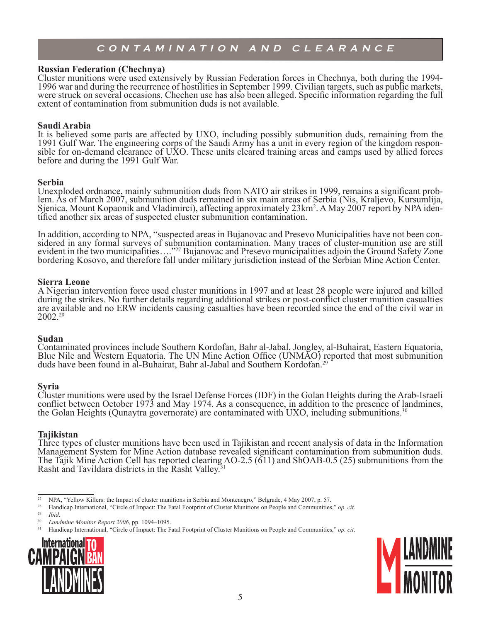#### **Russian Federation (Chechnya)**

Cluster munitions were used extensively by Russian Federation forces in Chechnya, both during the 1994- 1996 war and during the recurrence of hostilities in September 1999. Civilian targets, such as public markets, were struck on several occasions. Chechen use has also been alleged. Specific information regarding the full extent of contamination from submunition duds is not available.

#### **Saudi Arabia**

It is believed some parts are affected by UXO, including possibly submunition duds, remaining from the 1991 Gulf War. The engineering corps of the Saudi Army has a unit in every region of the kingdom respon-<br>sible for on-demand clearance of UXO. These units cleared training areas and camps used by allied forces before and during the 1991 Gulf War.

Serbia<br>Unexploded ordnance, mainly submunition duds from NATO air strikes in 1999, remains a significant problem. As of March 2007, submunition duds remained in six main areas of Serbia (Nis, Kraljevo, Kursumlija, Sjenica, Mount Kopaonik and Vladimirci), affecting approximately 23km<sup>2</sup>. A May 2007 report by NPA iden-<br>tified another six areas of suspected cluster submunition contamination.

In addition, according to NPA, "suspected areas in Bujanovac and Presevo Municipalities have not been con- sidered in any formal surveys of submunition contamination. Many traces of cluster-munition use are still evident in the two municipalities...."<sup>27</sup> Bujanovac and Presevo municipalities adjoin the Ground Safety Zone bordering Kosovo, and therefore fall under military jurisdiction instead of the Serbian Mine Action Center.

#### **Sierra Leone**

A Nigerian intervention force used cluster munitions in 1997 and at least 28 people were injured and killed during the strikes. No further details regarding additional strikes or post-conflict cluster munition casualties are available and no ERW incidents causing casualties have been recorded since the end of the civil war in 2002.28

#### **Sudan**

Contaminated provinces include Southern Kordofan, Bahr al-Jabal, Jongley, al-Buhairat, Eastern Equatoria, Blue Nile and Western Equatoria. The UN Mine Action Office (UNMAO) reported that most submunition duds have been found in al-Buhairat, Bahr al-Jabal and Southern Kordofan.29

#### **Syria**

Cluster munitions were used by the Israel Defense Forces (IDF) in the Golan Heights during the Arab-Israeli conflict between October 1973 and May 1974. As a consequence, in addition to the presence of landmines, the Golan Heights (Qunaytra governorate) are contaminated with UXO, including submunitions.<sup>30</sup>

### **Tajikistan**

Three types of cluster munitions have been used in Tajikistan and recent analysis of data in the Information Management System for Mine Action database revealed significant contamination from submunition duds. The Tajik Mine Action Cell has reported clearing AO-2.5 (611) and ShOAB-0.5 (25) submunitions from the Rasht and Tavildara districts in the Rasht Valley.

- <sup>27</sup> NPA, "Yellow Killers: the Impact of cluster munitions in Serbia and Montenegro," Belgrade, 4 May 2007, p. 57.<br><sup>28</sup> Handican International "Circle of Impact: The Eatal Ecotraint of Cluster Munitions on People and Comm
- <sup>28</sup> Handicap International, "Circle of Impact: The Fatal Footprint of Cluster Munitions on People and Communities," *op. cit.*<br><sup>29</sup> Ibid
- $\frac{29}{30}$  *Ibid.*
- <sup>30</sup> *Landmine Monitor Report 2006*, pp. 1094–1095.

<sup>31</sup> Handicap International, "Circle of Impact: The Fatal Footprint of Cluster Munitions on People and Communities," *op. cit*.